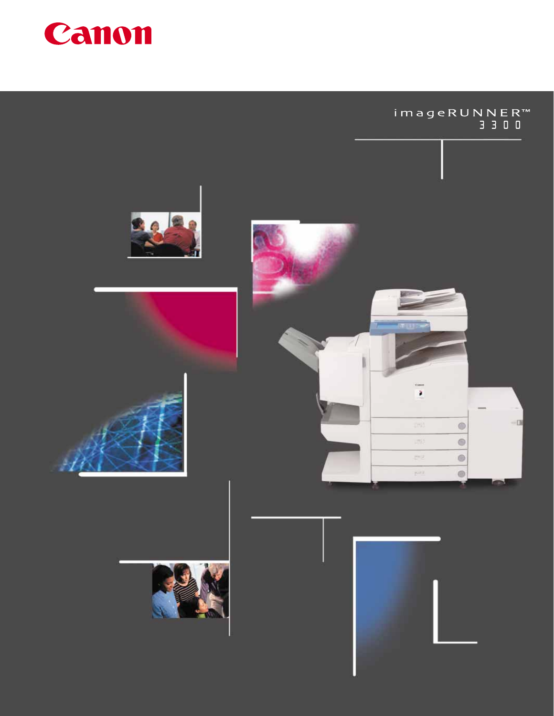

# imageRUNNER™<br>3300









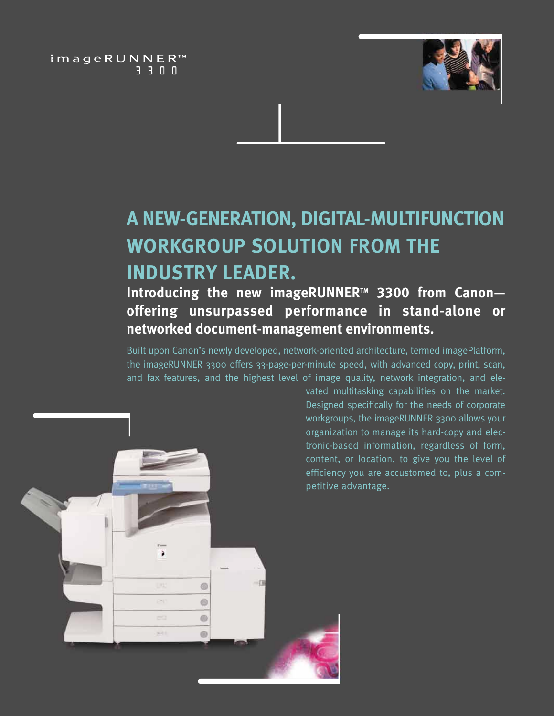imageRUNNER™ 3300



# **A NEW-GENERATION, DIGITAL-MULTIFUNCTION WORKGROUP SOLUTION FROM THE INDUSTRY LEADER.**

## **Introducing the new imageRUNNER<sup>™</sup> 3300 from Canon– offering unsurpassed performance in stand-alone or networked document-management environments.**

Built upon Canon's newly developed, network-oriented architecture, termed imagePlatform, the imageRUNNER 3300 offers 33-page-per-minute speed, with advanced copy, print, scan, and fax features, and the highest level of image quality, network integration, and ele-



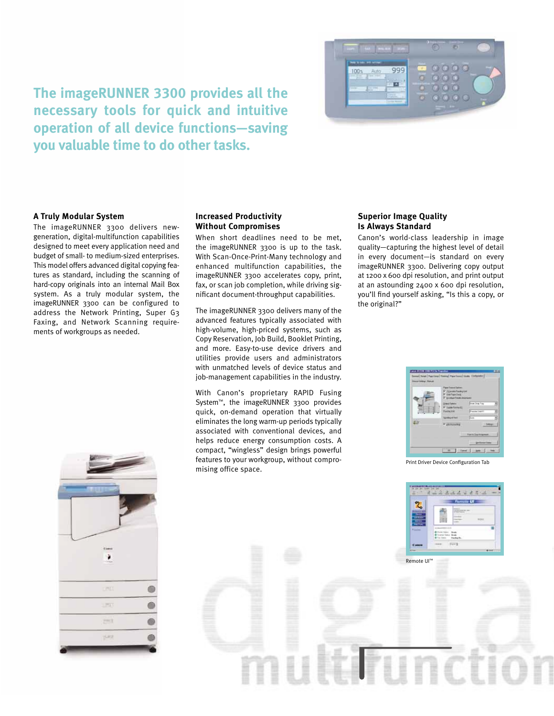

**The imageRUNNER 3300 provides all the necessary tools for quick and intuitive operation of all device functions—saving you valuable time to do other tasks.**

#### **A Truly Modular System**

The imageRUNNER 3300 delivers newgeneration, digital-multifunction capabilities designed to meet every application need and budget of small- to medium-sized enterprises. This model offers advanced digital copying features as standard, including the scanning of hard-copy originals into an internal Mail Box system. As a truly modular system, the imageRUNNER 3300 can be configured to address the Network Printing, Super G3 Faxing, and Network Scanning requirements of workgroups as needed.

#### **Increased Productivity Without Compromises**

When short deadlines need to be met, the imageRUNNER 3300 is up to the task. With Scan-Once-Print-Many technology and enhanced multifunction capabilities, the imageRUNNER 3300 accelerates copy, print, fax, or scan job completion, while driving significant document-throughput capabilities.

The imageRUNNER 3300 delivers many of the advanced features typically associated with high-volume, high-priced systems, such as Copy Reservation, Job Build, Booklet Printing, and more. Easy-to-use device drivers and utilities provide users and administrators with unmatched levels of device status and job-management capabilities in the industry.

With Canon's proprietary RAPID Fusing System™, the imageRUNNER 3300 provides quick, on-demand operation that virtually eliminates the long warm-up periods typically associated with conventional devices, and helps reduce energy consumption costs. A compact, "wingless" design brings powerful features to your workgroup, without compromising office space.

### **Superior Image Quality Is Always Standard**

Canon's world-class leadership in image quality—capturing the highest level of detail in every document—is standard on every imageRUNNER 3300. Delivering copy output at 1200 x 600 dpi resolution, and print output at an astounding 2400 x 600 dpi resolution, you'll find yourself asking, "Is this a copy, or the original?"



Print Driver Device Configuration Tab

 $222222$ 



Remote UI™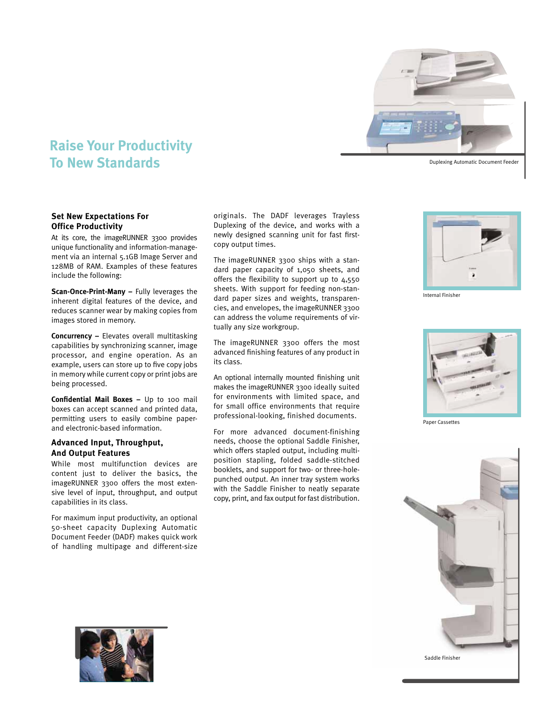

Duplexing Automatic Document Feeder

### **Raise Your Productivity To New Standards**

#### **Set New Expectations For Office Productivity**

At its core, the imageRUNNER 3300 provides unique functionality and information-management via an internal 5.1GB Image Server and 128MB of RAM. Examples of these features include the following:

**Scan-Once-Print-Many –** Fully leverages the inherent digital features of the device, and reduces scanner wear by making copies from images stored in memory.

**Concurrency –** Elevates overall multitasking capabilities by synchronizing scanner, image processor, and engine operation. As an example, users can store up to five copy jobs in memory while current copy or print jobs are being processed.

**Confidential Mail Boxes –** Up to 100 mail boxes can accept scanned and printed data, permitting users to easily combine paperand electronic-based information.

#### **Advanced Input, Throughput, And Output Features**

While most multifunction devices are content just to deliver the basics, the imageRUNNER 3300 offers the most extensive level of input, throughput, and output capabilities in its class.

For maximum input productivity, an optional 50-sheet capacity Duplexing Automatic Document Feeder (DADF) makes quick work of handling multipage and different-size

originals. The DADF leverages Trayless Duplexing of the device, and works with a newly designed scanning unit for fast firstcopy output times.

The imageRUNNER 3300 ships with a standard paper capacity of 1,050 sheets, and offers the flexibility to support up to 4,550 sheets. With support for feeding non-standard paper sizes and weights, transparencies, and envelopes, the imageRUNNER 3300 can address the volume requirements of virtually any size workgroup.

The imageRUNNER 3300 offers the most advanced finishing features of any product in its class.

An optional internally mounted finishing unit makes the imageRUNNER 3300 ideally suited for environments with limited space, and for small office environments that require professional-looking, finished documents.

For more advanced document-finishing needs, choose the optional Saddle Finisher, which offers stapled output, including multiposition stapling, folded saddle-stitched booklets, and support for two- or three-holepunched output. An inner tray system works with the Saddle Finisher to neatly separate copy, print, and fax output for fast distribution.



Internal Finisher



Paper Cassettes



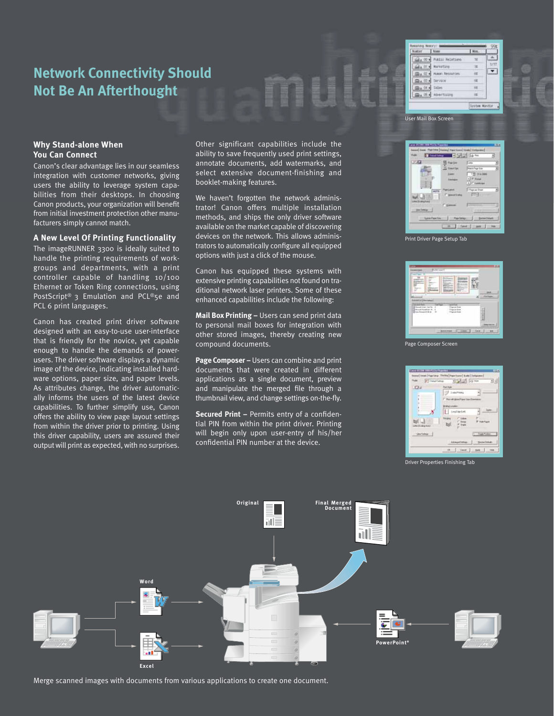### **Network Connectivity Should Not Be An Afterthought**

 $\mathcal{Q}_2 \gg 1$  Public Relat **Marketung**  $65.91$  $\overline{\phantom{0}}$  $\mathbb{R}$  ,  $\mathbb{R}$  .  $\mathfrak{g}_4$   $\otimes$ Sarusn  $m_4, 04$ Sides  $\mathfrak{D}_1 \otimes \mathfrak{t}$ Asverts **System Munito** 

User Mail Box Screen

#### **Why Stand-alone When You Can Connect**

Canon's clear advantage lies in our seamless integration with customer networks, giving users the ability to leverage system capabilities from their desktops. In choosing Canon products, your organization will benefit from initial investment protection other manufacturers simply cannot match.

#### **A New Level Of Printing Functionality**

The imageRUNNER 3300 is ideally suited to handle the printing requirements of workgroups and departments, with a print controller capable of handling 10/100 Ethernet or Token Ring connections, using PostScript® 3 Emulation and PCL®5e and PCL 6 print languages.

Canon has created print driver software designed with an easy-to-use user-interface that is friendly for the novice, yet capable enough to handle the demands of powerusers. The driver software displays a dynamic image of the device, indicating installed hardware options, paper size, and paper levels. As attributes change, the driver automatically informs the users of the latest device capabilities. To further simplify use, Canon offers the ability to view page layout settings from within the driver prior to printing. Using this driver capability, users are assured their output will print as expected, with no surprises. Other significant capabilities include the ability to save frequently used print settings, annotate documents, add watermarks, and select extensive document-finishing and booklet-making features.

We haven't forgotten the network administrator! Canon offers multiple installation methods, and ships the only driver software available on the market capable of discovering devices on the network. This allows administrators to automatically configure all equipped options with just a click of the mouse.

Canon has equipped these systems with extensive printing capabilities not found on traditional network laser printers. Some of these enhanced capabilities include the following:

**Mail Box Printing –** Users can send print data to personal mail boxes for integration with other stored images, thereby creating new compound documents.

**Page Composer –** Users can combine and print documents that were created in different applications as a single document, preview and manipulate the merged file through a thumbnail view, and change settings on-the-fly.

**Secured Print –** Permits entry of a confidential PIN from within the print driver. Printing will begin only upon user-entry of his/her confidential PIN number at the device.



Print Driver Page Setup Tab



Page Composer Screen



Driver Properties Finishing Tab



Merge scanned images with documents from various applications to create one document.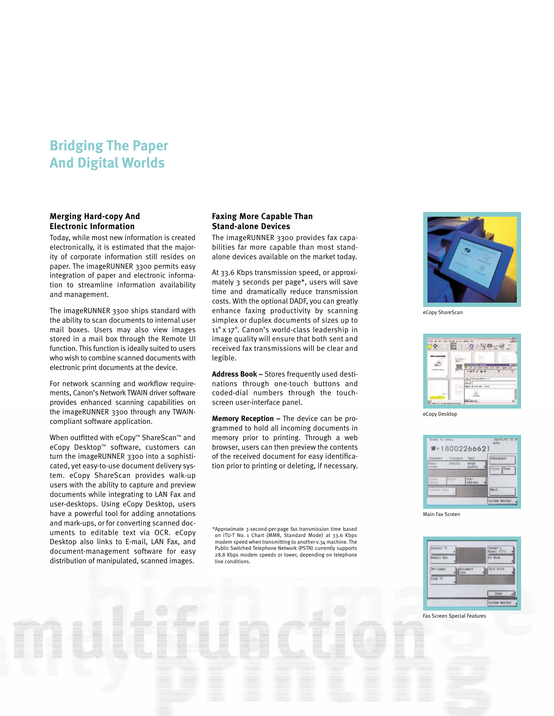### **Bridging The Paper And Digital Worlds**

### **Merging Hard-copy And Electronic Information**

Today, while most new information is created electronically, it is estimated that the majority of corporate information still resides on paper. The imageRUNNER 3300 permits easy integration of paper and electronic information to streamline information availability and management.

The imageRUNNER 3300 ships standard with the ability to scan documents to internal user mail boxes. Users may also view images stored in a mail box through the Remote UI function. This function is ideally suited to users who wish to combine scanned documents with electronic print documents at the device.

For network scanning and workflow requirements, Canon's Network TWAIN driver software provides enhanced scanning capabilities on the imageRUNNER 3300 through any TWAINcompliant software application.

When outfitted with eCopy™ ShareScan™ and eCopy Desktop™ software, customers can turn the imageRUNNER 3300 into a sophisticated, yet easy-to-use document delivery system. eCopy ShareScan provides walk-up users with the ability to capture and preview documents while integrating to LAN Fax and user-desktops. Using eCopy Desktop, users have a powerful tool for adding annotations and mark-ups, or for converting scanned documents to editable text via OCR. eCopy Desktop also links to E-mail, LAN Fax, and document-management software for easy distribution of manipulated, scanned images.

#### **Faxing More Capable Than Stand-alone Devices**

The imageRUNNER 3300 provides fax capabilities far more capable than most standalone devices available on the market today.

At 33.6 Kbps transmission speed, or approximately 3 seconds per page\*, users will save time and dramatically reduce transmission costs. With the optional DADF, you can greatly enhance faxing productivity by scanning simplex or duplex documents of sizes up to 11" x 17". Canon's world-class leadership in image quality will ensure that both sent and received fax transmissions will be clear and legible.

**Address Book –** Stores frequently used destinations through one-touch buttons and coded-dial numbers through the touchscreen user-interface panel.

**Memory Reception –** The device can be programmed to hold all incoming documents in memory prior to printing. Through a web browser, users can then preview the contents of the received document for easy identification prior to printing or deleting, if necessary.

\*Approximate 3-second-per-page fax transmission time based on ITU-T No. 1 Chart (MMR, Standard Mode) at 33.6 Kbps modem speed when transmitting to another v.34 machine. The Public Switched Telephone Network (PSTN) currently supports 28.8 Kbps modem speeds or lower, depending on telephone line conditions.



eCopy ShareScan



eCopy Desktop



Main Fax Screen



#### Fax Screen Special Features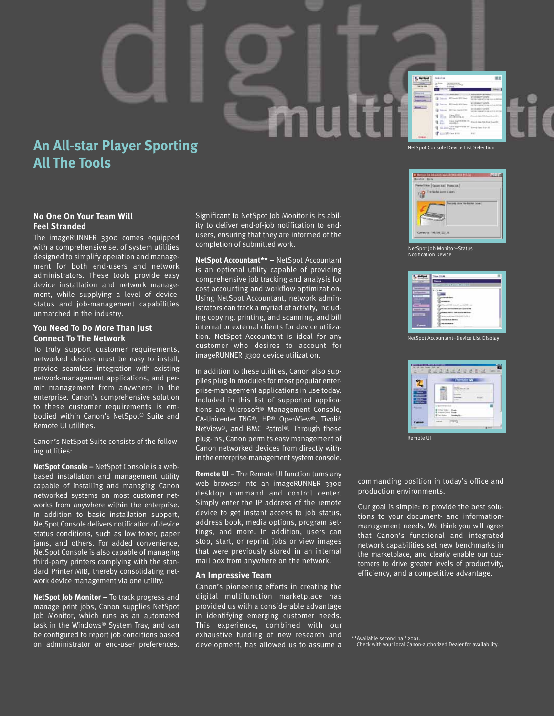## **An All-star Player Sporting All The Tools**

### **No One On Your Team Will Feel Stranded**

The imageRUNNER 3300 comes equipped with a comprehensive set of system utilities designed to simplify operation and management for both end-users and network administrators. These tools provide easy device installation and network management, while supplying a level of devicestatus and job-management capabilities unmatched in the industry.

### **You Need To Do More Than Just Connect To The Network**

To truly support customer requirements, networked devices must be easy to install, provide seamless integration with existing network-management applications, and permit management from anywhere in the enterprise. Canon's comprehensive solution to these customer requirements is embodied within Canon's NetSpot® Suite and Remote UI utilities.

Canon's NetSpot Suite consists of the following utilities:

**NetSpot Console –** NetSpot Console is a webbased installation and management utility capable of installing and managing Canon networked systems on most customer networks from anywhere within the enterprise. In addition to basic installation support, NetSpot Console delivers notification of device status conditions, such as low toner, paper jams, and others. For added convenience, NetSpot Console is also capable of managing third-party printers complying with the standard Printer MIB, thereby consolidating network device management via one utility.

**NetSpot Job Monitor –** To track progress and manage print jobs, Canon supplies NetSpot Job Monitor, which runs as an automated task in the Windows® System Tray, and can be configured to report job conditions based on administrator or end-user preferences.

Significant to NetSpot Job Monitor is its ability to deliver end-of-job notification to endusers, ensuring that they are informed of the completion of submitted work.

mult

**NetSpot Accountant\*\* –** NetSpot Accountant is an optional utility capable of providing comprehensive job tracking and analysis for cost accounting and workflow optimization. Using NetSpot Accountant, network administrators can track a myriad of activity, including copying, printing, and scanning, and bill internal or external clients for device utilization. NetSpot Accountant is ideal for any customer who desires to account for imageRUNNER 3300 device utilization.

In addition to these utilities, Canon also supplies plug-in modules for most popular enterprise-management applications in use today. Included in this list of supported applications are Microsoft® Management Console, CA-Unicenter TNG®, HP® OpenView®, Tivoli® NetView®, and BMC Patrol®. Through these plug-ins, Canon permits easy management of Canon networked devices from directly within the enterprise-management system console.

**Remote UI –** The Remote UI function turns any web browser into an imageRUNNER 3300 desktop command and control center. Simply enter the IP address of the remote device to get instant access to job status, address book, media options, program settings, and more. In addition, users can stop, start, or reprint jobs or view images that were previously stored in an internal mail box from anywhere on the network.

#### **An Impressive Team**

Canon's pioneering efforts in creating the digital multifunction marketplace has provided us with a considerable advantage in identifying emerging customer needs. This experience, combined with our exhaustive funding of new research and development, has allowed us to assume a

NetSpot Console Device List Selection



NetSpot Job Monitor–Status Notification Device



NetSpot Accountant–Device List Display



Remote UI

commanding position in today's office and production environments.

Our goal is simple: to provide the best solutions to your document- and informationmanagement needs. We think you will agree that Canon's functional and integrated network capabilities set new benchmarks in the marketplace, and clearly enable our customers to drive greater levels of productivity, efficiency, and a competitive advantage.

\*\*Available second half 2001. Check with your local Canon-authorized Dealer for availability.